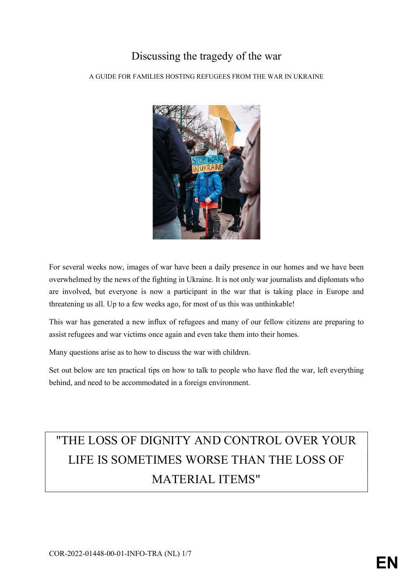### Discussing the tragedy of the war

A GUIDE FOR FAMILIES HOSTING REFUGEES FROM THE WAR IN UKRAINE



For several weeks now, images of war have been a daily presence in our homes and we have been overwhelmed by the news of the fighting in Ukraine. It is not only war journalists and diplomats who are involved, but everyone is now a participant in the war that is taking place in Europe and threatening us all. Up to a few weeks ago, for most of us this was unthinkable!

This war has generated a new influx of refugees and many of our fellow citizens are preparing to assist refugees and war victims once again and even take them into their homes.

Many questions arise as to how to discuss the war with children.

Set out below are ten practical tips on how to talk to people who have fled the war, left everything behind, and need to be accommodated in a foreign environment.

# "THE LOSS OF DIGNITY AND CONTROL OVER YOUR LIFE IS SOMETIMES WORSE THAN THE LOSS OF MATERIAL ITEMS"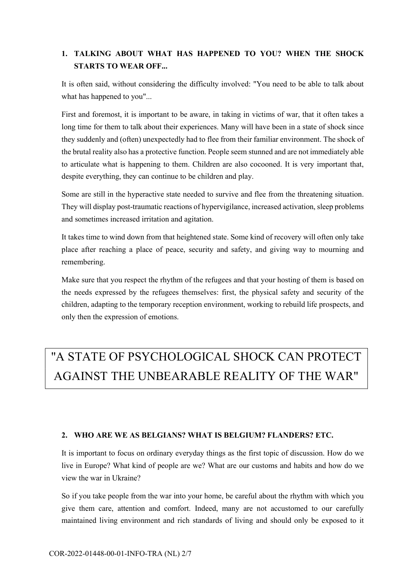### 1. TALKING ABOUT WHAT HAS HAPPENED TO YOU? WHEN THE SHOCK STARTS TO WEAR OFF...

It is often said, without considering the difficulty involved: "You need to be able to talk about what has happened to you"...

First and foremost, it is important to be aware, in taking in victims of war, that it often takes a long time for them to talk about their experiences. Many will have been in a state of shock since they suddenly and (often) unexpectedly had to flee from their familiar environment. The shock of the brutal reality also has a protective function. People seem stunned and are not immediately able to articulate what is happening to them. Children are also cocooned. It is very important that, despite everything, they can continue to be children and play.

Some are still in the hyperactive state needed to survive and flee from the threatening situation. They will display post-traumatic reactions of hypervigilance, increased activation, sleep problems and sometimes increased irritation and agitation.

It takes time to wind down from that heightened state. Some kind of recovery will often only take place after reaching a place of peace, security and safety, and giving way to mourning and remembering.

Make sure that you respect the rhythm of the refugees and that your hosting of them is based on the needs expressed by the refugees themselves: first, the physical safety and security of the children, adapting to the temporary reception environment, working to rebuild life prospects, and only then the expression of emotions.

### "A STATE OF PSYCHOLOGICAL SHOCK CAN PROTECT AGAINST THE UNBEARABLE REALITY OF THE WAR"

#### 2. WHO ARE WE AS BELGIANS? WHAT IS BELGIUM? FLANDERS? ETC.

It is important to focus on ordinary everyday things as the first topic of discussion. How do we live in Europe? What kind of people are we? What are our customs and habits and how do we view the war in Ukraine?

So if you take people from the war into your home, be careful about the rhythm with which you give them care, attention and comfort. Indeed, many are not accustomed to our carefully maintained living environment and rich standards of living and should only be exposed to it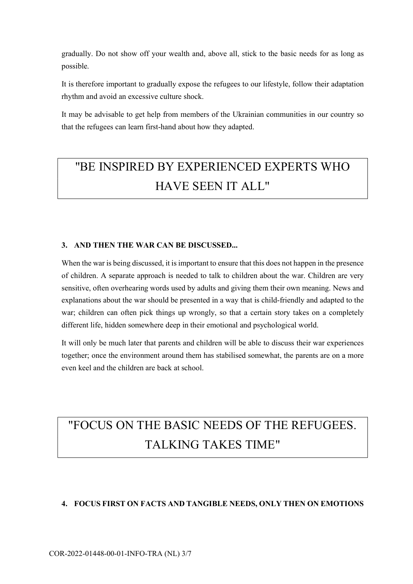gradually. Do not show off your wealth and, above all, stick to the basic needs for as long as possible.

It is therefore important to gradually expose the refugees to our lifestyle, follow their adaptation rhythm and avoid an excessive culture shock.

It may be advisable to get help from members of the Ukrainian communities in our country so that the refugees can learn first-hand about how they adapted.

### "BE INSPIRED BY EXPERIENCED EXPERTS WHO HAVE SEEN IT ALL"

#### 3. AND THEN THE WAR CAN BE DISCUSSED...

When the war is being discussed, it is important to ensure that this does not happen in the presence of children. A separate approach is needed to talk to children about the war. Children are very sensitive, often overhearing words used by adults and giving them their own meaning. News and explanations about the war should be presented in a way that is child-friendly and adapted to the war; children can often pick things up wrongly, so that a certain story takes on a completely different life, hidden somewhere deep in their emotional and psychological world.

It will only be much later that parents and children will be able to discuss their war experiences together; once the environment around them has stabilised somewhat, the parents are on a more even keel and the children are back at school.

# "FOCUS ON THE BASIC NEEDS OF THE REFUGEES. TALKING TAKES TIME"

#### 4. FOCUS FIRST ON FACTS AND TANGIBLE NEEDS, ONLY THEN ON EMOTIONS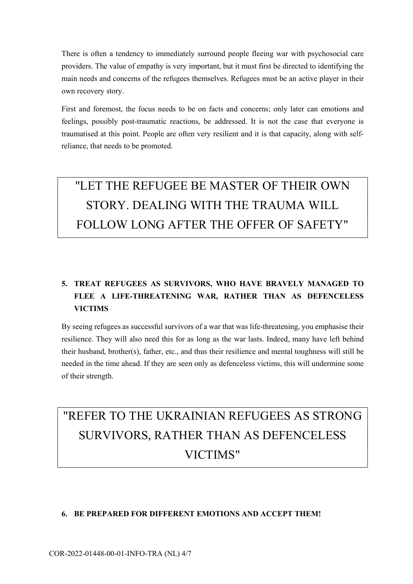There is often a tendency to immediately surround people fleeing war with psychosocial care providers. The value of empathy is very important, but it must first be directed to identifying the main needs and concerns of the refugees themselves. Refugees must be an active player in their own recovery story.

First and foremost, the focus needs to be on facts and concerns; only later can emotions and feelings, possibly post-traumatic reactions, be addressed. It is not the case that everyone is traumatised at this point. People are often very resilient and it is that capacity, along with selfreliance, that needs to be promoted.

# "LET THE REFUGEE BE MASTER OF THEIR OWN STORY. DEALING WITH THE TRAUMA WILL FOLLOW LONG AFTER THE OFFER OF SAFETY"

### 5. TREAT REFUGEES AS SURVIVORS, WHO HAVE BRAVELY MANAGED TO FLEE A LIFE-THREATENING WAR, RATHER THAN AS DEFENCELESS **VICTIMS**

By seeing refugees as successful survivors of a war that was life-threatening, you emphasise their resilience. They will also need this for as long as the war lasts. Indeed, many have left behind their husband, brother(s), father, etc., and thus their resilience and mental toughness will still be needed in the time ahead. If they are seen only as defenceless victims, this will undermine some of their strength.

# "REFER TO THE UKRAINIAN REFUGEES AS STRONG SURVIVORS, RATHER THAN AS DEFENCELESS VICTIMS"

#### 6. BE PREPARED FOR DIFFERENT EMOTIONS AND ACCEPT THEM!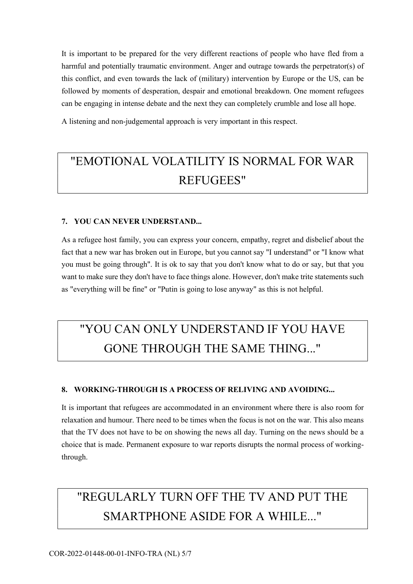It is important to be prepared for the very different reactions of people who have fled from a harmful and potentially traumatic environment. Anger and outrage towards the perpetrator(s) of this conflict, and even towards the lack of (military) intervention by Europe or the US, can be followed by moments of desperation, despair and emotional breakdown. One moment refugees can be engaging in intense debate and the next they can completely crumble and lose all hope.

A listening and non-judgemental approach is very important in this respect.

### "EMOTIONAL VOLATILITY IS NORMAL FOR WAR REFUGEES"

#### 7. YOU CAN NEVER UNDERSTAND...

As a refugee host family, you can express your concern, empathy, regret and disbelief about the fact that a new war has broken out in Europe, but you cannot say "I understand" or "I know what you must be going through". It is ok to say that you don't know what to do or say, but that you want to make sure they don't have to face things alone. However, don't make trite statements such as "everything will be fine" or "Putin is going to lose anyway" as this is not helpful.

### "YOU CAN ONLY UNDERSTAND IF YOU HAVE GONE THROUGH THE SAME THING..."

#### 8. WORKING-THROUGH IS A PROCESS OF RELIVING AND AVOIDING...

It is important that refugees are accommodated in an environment where there is also room for relaxation and humour. There need to be times when the focus is not on the war. This also means that the TV does not have to be on showing the news all day. Turning on the news should be a choice that is made. Permanent exposure to war reports disrupts the normal process of workingthrough.

### "REGULARLY TURN OFF THE TV AND PUT THE SMARTPHONE ASIDE FOR A WHILE..."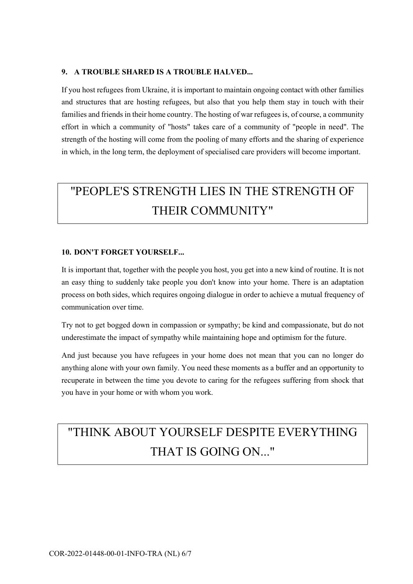#### 9. A TROUBLE SHARED IS A TROUBLE HALVED...

If you host refugees from Ukraine, it is important to maintain ongoing contact with other families and structures that are hosting refugees, but also that you help them stay in touch with their families and friends in their home country. The hosting of war refugees is, of course, a community effort in which a community of "hosts" takes care of a community of "people in need". The strength of the hosting will come from the pooling of many efforts and the sharing of experience in which, in the long term, the deployment of specialised care providers will become important.

# "PEOPLE'S STRENGTH LIES IN THE STRENGTH OF THEIR COMMUNITY"

#### 10. DON'T FORGET YOURSELF...

It is important that, together with the people you host, you get into a new kind of routine. It is not an easy thing to suddenly take people you don't know into your home. There is an adaptation process on both sides, which requires ongoing dialogue in order to achieve a mutual frequency of communication over time.

Try not to get bogged down in compassion or sympathy; be kind and compassionate, but do not underestimate the impact of sympathy while maintaining hope and optimism for the future.

And just because you have refugees in your home does not mean that you can no longer do anything alone with your own family. You need these moments as a buffer and an opportunity to recuperate in between the time you devote to caring for the refugees suffering from shock that you have in your home or with whom you work.

### "THINK ABOUT YOURSELF DESPITE EVERYTHING THAT IS GOING ON..."